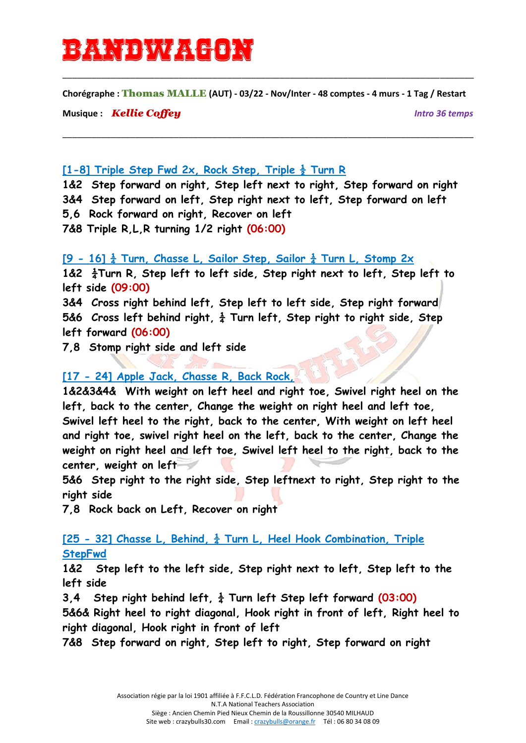# bandwagon

**Chorégraphe :** Thomas MALLE **(AUT) - 03/22 - Nov/Inter - 48 comptes - 4 murs - 1 Tag / Restart**

\_\_\_\_\_\_\_\_\_\_\_\_\_\_\_\_\_\_\_\_\_\_\_\_\_\_\_\_\_\_\_\_\_\_\_\_\_\_\_\_\_\_\_\_\_\_\_\_\_\_\_\_\_\_\_\_\_\_\_\_\_\_\_\_\_\_\_\_\_\_\_\_\_\_\_\_\_\_\_\_\_\_\_\_\_

\_\_\_\_\_\_\_\_\_\_\_\_\_\_\_\_\_\_\_\_\_\_\_\_\_\_\_\_\_\_\_\_\_\_\_\_\_\_\_\_\_\_\_\_\_\_\_\_\_\_\_\_\_\_\_\_\_\_\_\_\_\_\_\_\_\_\_\_\_\_\_\_\_\_\_\_\_\_\_\_\_\_\_\_\_

**Musique :** *Kellie Coffey Intro 36 temps*

#### **[1-8] Triple Step Fwd 2x, Rock Step, Triple ½ Turn R**

**1&2 Step forward on right, Step left next to right, Step forward on right 3&4 Step forward on left, Step right next to left, Step forward on left 5,6 Rock forward on right, Recover on left 7&8 Triple R,L,R turning 1/2 right (06:00)**

#### **[9 - 16] ¼ Turn, Chasse L, Sailor Step, Sailor ¼ Turn L, Stomp 2x**

**1&2 ¼Turn R, Step left to left side, Step right next to left, Step left to left side (09:00)**

**3&4 Cross right behind left, Step left to left side, Step right forward 5&6 Cross left behind right, ¼ Turn left, Step right to right side, Step left forward (06:00)**

**7,8 Stomp right side and left side**

### **[17 - 24] Apple Jack, Chasse R, Back Rock,**

**1&2&3&4& With weight on left heel and right toe, Swivel right heel on the left, back to the center, Change the weight on right heel and left toe, Swivel left heel to the right, back to the center, With weight on left heel and right toe, swivel right heel on the left, back to the center, Change the weight on right heel and left toe, Swivel left heel to the right, back to the center, weight on left**

**5&6 Step right to the right side, Step leftnext to right, Step right to the right side**

**7,8 Rock back on Left, Recover on right**

## **[25 - 32] Chasse L, Behind, ¼ Turn L, Heel Hook Combination, Triple StepFwd**

**1&2 Step left to the left side, Step right next to left, Step left to the left side**

**3,4 Step right behind left, ¼ Turn left Step left forward (03:00) 5&6& Right heel to right diagonal, Hook right in front of left, Right heel to right diagonal, Hook right in front of left**

**7&8 Step forward on right, Step left to right, Step forward on right**